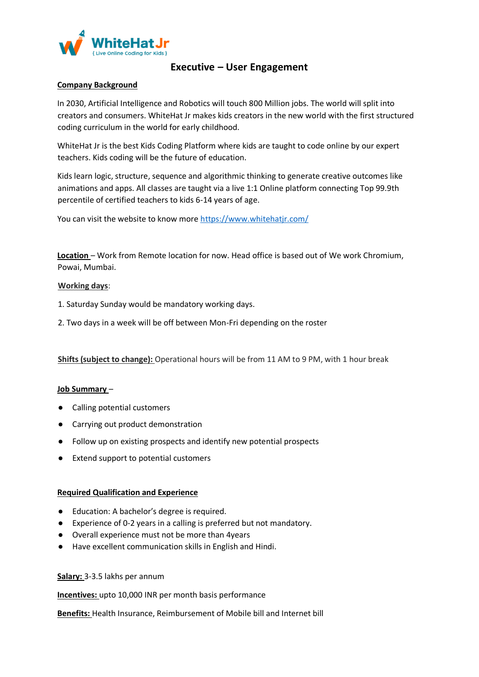

# **Executive – User Engagement**

#### **Company Background**

In 2030, Artificial Intelligence and Robotics will touch 800 Million jobs. The world will split into creators and consumers. WhiteHat Jr makes kids creators in the new world with the first structured coding curriculum in the world for early childhood.

WhiteHat Jr is the best Kids Coding Platform where kids are taught to code online by our expert teachers. Kids coding will be the future of education.

Kids learn logic, structure, sequence and algorithmic thinking to generate creative outcomes like animations and apps. All classes are taught via a live 1:1 Online platform connecting Top 99.9th percentile of certified teachers to kids 6-14 years of age.

You can visit the website to know more<https://www.whitehatjr.com/>

**Location** – Work from Remote location for now. Head office is based out of We work Chromium, Powai, Mumbai.

### **Working days**:

- 1. Saturday Sunday would be mandatory working days.
- 2. Two days in a week will be off between Mon-Fri depending on the roster

**Shifts (subject to change):** Operational hours will be from 11 AM to 9 PM, with 1 hour break

#### **Job Summary** –

- Calling potential customers
- Carrying out product demonstration
- Follow up on existing prospects and identify new potential prospects
- Extend support to potential customers

#### **Required Qualification and Experience**

- Education: A bachelor's degree is required.
- Experience of 0-2 years in a calling is preferred but not mandatory.
- Overall experience must not be more than 4years
- Have excellent communication skills in English and Hindi.

**Salary:** 3-3.5 lakhs per annum

**Incentives:** upto 10,000 INR per month basis performance

**Benefits:** Health Insurance, Reimbursement of Mobile bill and Internet bill